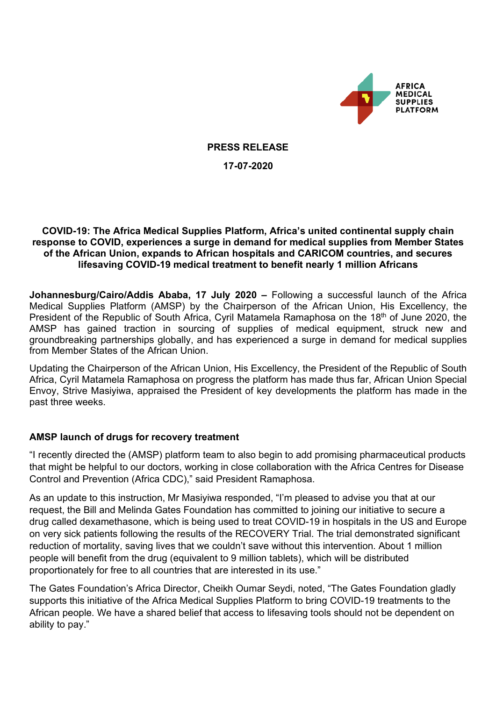

**PRESS RELEASE**

**17-07-2020**

#### **COVID-19: The Africa Medical Supplies Platform, Africa's united continental supply chain response to COVID, experiences a surge in demand for medical supplies from Member States of the African Union, expands to African hospitals and CARICOM countries, and secures lifesaving COVID-19 medical treatment to benefit nearly 1 million Africans**

**Johannesburg/Cairo/Addis Ababa, 17 July 2020 –** Following a successful launch of the Africa Medical Supplies Platform (AMSP) by the Chairperson of the African Union, His Excellency, the President of the Republic of South Africa, Cyril Matamela Ramaphosa on the 18<sup>th</sup> of June 2020, the AMSP has gained traction in sourcing of supplies of medical equipment, struck new and groundbreaking partnerships globally, and has experienced a surge in demand for medical supplies from Member States of the African Union.

Updating the Chairperson of the African Union, His Excellency, the President of the Republic of South Africa, Cyril Matamela Ramaphosa on progress the platform has made thus far, African Union Special Envoy, Strive Masiyiwa, appraised the President of key developments the platform has made in the past three weeks.

# **AMSP launch of drugs for recovery treatment**

"I recently directed the (AMSP) platform team to also begin to add promising pharmaceutical products that might be helpful to our doctors, working in close collaboration with the Africa Centres for Disease Control and Prevention (Africa CDC)," said President Ramaphosa.

As an update to this instruction, Mr Masiyiwa responded, "I'm pleased to advise you that at our request, the Bill and Melinda Gates Foundation has committed to joining our initiative to secure a drug called dexamethasone, which is being used to treat COVID-19 in hospitals in the US and Europe on very sick patients following the results of the RECOVERY Trial. The trial demonstrated significant reduction of mortality, saving lives that we couldn't save without this intervention. About 1 million people will benefit from the drug (equivalent to 9 million tablets), which will be distributed proportionately for free to all countries that are interested in its use."

The Gates Foundation's Africa Director, Cheikh Oumar Seydi, noted, "The Gates Foundation gladly supports this initiative of the Africa Medical Supplies Platform to bring COVID-19 treatments to the African people. We have a shared belief that access to lifesaving tools should not be dependent on ability to pay."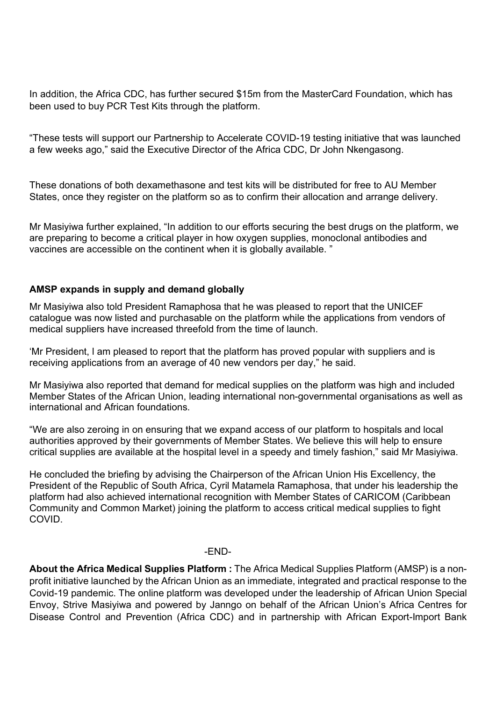In addition, the Africa CDC, has further secured \$15m from the MasterCard Foundation, which has been used to buy PCR Test Kits through the platform.

"These tests will support our Partnership to Accelerate COVID-19 testing initiative that was launched a few weeks ago," said the Executive Director of the Africa CDC, Dr John Nkengasong.

These donations of both dexamethasone and test kits will be distributed for free to AU Member States, once they register on the platform so as to confirm their allocation and arrange delivery.

Mr Masiyiwa further explained, "In addition to our efforts securing the best drugs on the platform, we are preparing to become a critical player in how oxygen supplies, monoclonal antibodies and vaccines are accessible on the continent when it is globally available. "

### **AMSP expands in supply and demand globally**

Mr Masiyiwa also told President Ramaphosa that he was pleased to report that the UNICEF catalogue was now listed and purchasable on the platform while the applications from vendors of medical suppliers have increased threefold from the time of launch.

'Mr President, l am pleased to report that the platform has proved popular with suppliers and is receiving applications from an average of 40 new vendors per day," he said.

Mr Masiyiwa also reported that demand for medical supplies on the platform was high and included Member States of the African Union, leading international non-governmental organisations as well as international and African foundations.

"We are also zeroing in on ensuring that we expand access of our platform to hospitals and local authorities approved by their governments of Member States. We believe this will help to ensure critical supplies are available at the hospital level in a speedy and timely fashion," said Mr Masiyiwa.

He concluded the briefing by advising the Chairperson of the African Union His Excellency, the President of the Republic of South Africa, Cyril Matamela Ramaphosa, that under his leadership the platform had also achieved international recognition with Member States of CARICOM (Caribbean Community and Common Market) joining the platform to access critical medical supplies to fight COVID.

#### -END-

**About the Africa Medical Supplies Platform :** The Africa Medical Supplies Platform (AMSP) is a nonprofit initiative launched by the African Union as an immediate, integrated and practical response to the Covid-19 pandemic. The online platform was developed under the leadership of African Union Special Envoy, Strive Masiyiwa and powered by Janngo on behalf of the African Union's Africa Centres for Disease Control and Prevention (Africa CDC) and in partnership with African Export-Import Bank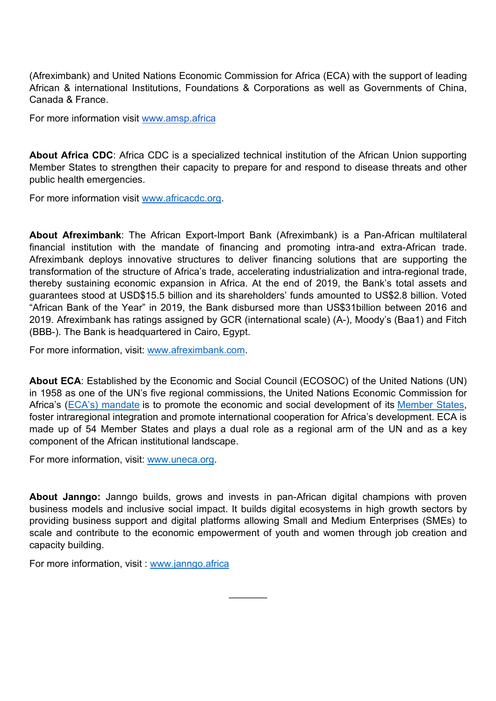(Afreximbank) and United Nations Economic Commission for Africa (ECA) with the support of leading African & international Institutions, Foundations & Corporations as well as Governments of China, Canada & France.

For more information visit www.amsp.africa

**About Africa CDC**: Africa CDC is a specialized technical institution of the African Union supporting Member States to strengthen their capacity to prepare for and respond to disease threats and other public health emergencies.

For more information visit www.africacdc.org.

**About Afreximbank**: The African Export-Import Bank (Afreximbank) is a Pan-African multilateral financial institution with the mandate of financing and promoting intra-and extra-African trade. Afreximbank deploys innovative structures to deliver financing solutions that are supporting the transformation of the structure of Africa's trade, accelerating industrialization and intra-regional trade, thereby sustaining economic expansion in Africa. At the end of 2019, the Bank's total assets and guarantees stood at USD\$15.5 billion and its shareholders' funds amounted to US\$2.8 billion. Voted "African Bank of the Year" in 2019, the Bank disbursed more than US\$31billion between 2016 and 2019. Afreximbank has ratings assigned by GCR (international scale) (A-), Moody's (Baa1) and Fitch (BBB-). The Bank is headquartered in Cairo, Egypt.

For more information, visit: www.afreximbank.com.

**About ECA**: Established by the Economic and Social Council (ECOSOC) of the United Nations (UN) in 1958 as one of the UN's five regional commissions, the United Nations Economic Commission for Africa's (ECA's) mandate is to promote the economic and social development of its Member States, foster intraregional integration and promote international cooperation for Africa's development. ECA is made up of 54 Member States and plays a dual role as a regional arm of the UN and as a key component of the African institutional landscape.

For more information, visit: www.uneca.org.

**About Janngo:** Janngo builds, grows and invests in pan-African digital champions with proven business models and inclusive social impact. It builds digital ecosystems in high growth sectors by providing business support and digital platforms allowing Small and Medium Enterprises (SMEs) to scale and contribute to the economic empowerment of youth and women through job creation and capacity building.

 $\overline{\phantom{a}}$ 

For more information, visit : www.janngo.africa